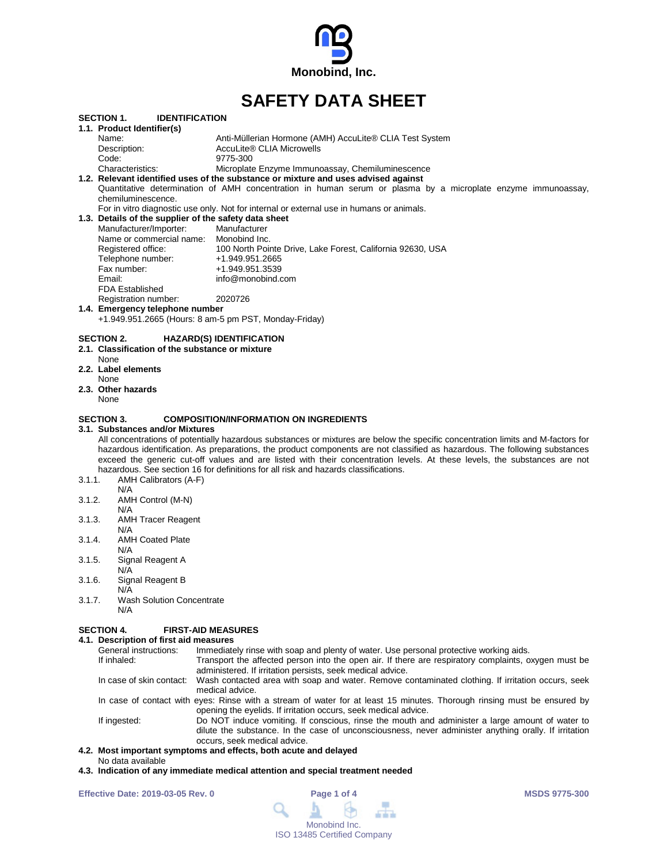

# **SAFETY DATA SHEET**

| <b>SECTION 1.</b><br><b>IDENTIFICATION</b>                                                                  |                                                                                                                                  |
|-------------------------------------------------------------------------------------------------------------|----------------------------------------------------------------------------------------------------------------------------------|
| 1.1. Product Identifier(s)                                                                                  |                                                                                                                                  |
| Name:                                                                                                       | Anti-Müllerian Hormone (AMH) AccuLite® CLIA Test System                                                                          |
| Description:                                                                                                | AccuLite® CLIA Microwells                                                                                                        |
| Code:                                                                                                       | 9775-300                                                                                                                         |
| Characteristics:                                                                                            | Microplate Enzyme Immunoassay, Chemiluminescence                                                                                 |
|                                                                                                             | 1.2. Relevant identified uses of the substance or mixture and uses advised against                                               |
| chemiluminescence.                                                                                          | Quantitative determination of AMH concentration in human serum or plasma by a microplate enzyme immunoassay,                     |
|                                                                                                             | For in vitro diagnostic use only. Not for internal or external use in humans or animals.                                         |
| 1.3. Details of the supplier of the safety data sheet                                                       |                                                                                                                                  |
| Manufacturer/Importer:                                                                                      | Manufacturer                                                                                                                     |
| Name or commercial name: Monobind Inc.                                                                      |                                                                                                                                  |
| Registered office:                                                                                          | 100 North Pointe Drive, Lake Forest, California 92630, USA                                                                       |
| Telephone number:                                                                                           | +1.949.951.2665                                                                                                                  |
| Fax number:<br>Email:                                                                                       | +1.949.951.3539                                                                                                                  |
| <b>FDA Established</b>                                                                                      | info@monobind.com                                                                                                                |
|                                                                                                             | 2020726                                                                                                                          |
| Registration number:<br>1.4. Emergency telephone number                                                     |                                                                                                                                  |
| +1.949.951.2665 (Hours: 8 am-5 pm PST, Monday-Friday)                                                       |                                                                                                                                  |
|                                                                                                             |                                                                                                                                  |
| <b>SECTION 2.</b><br>2.1. Classification of the substance or mixture<br>None<br>2.2. Label elements<br>None | <b>HAZARD(S) IDENTIFICATION</b>                                                                                                  |
| 2.3. Other hazards                                                                                          |                                                                                                                                  |
| None                                                                                                        |                                                                                                                                  |
|                                                                                                             |                                                                                                                                  |
| <b>SECTION 3.</b>                                                                                           | <b>COMPOSITION/INFORMATION ON INGREDIENTS</b>                                                                                    |
| 3.1. Substances and/or Mixtures                                                                             |                                                                                                                                  |
|                                                                                                             | All concentrations of potentially hazardous substances or mixtures are below the specific concentration limits and M-factors for |
|                                                                                                             | hazardous identification. As preparations, the product components are not classified as hazardous. The following substances      |
|                                                                                                             | exceed the generic cut-off values and are listed with their concentration levels. At these levels, the substances are not        |
|                                                                                                             | hazardous. See section 16 for definitions for all risk and hazards classifications.                                              |
| 3.1.1.<br>AMH Calibrators (A-F)                                                                             |                                                                                                                                  |
| N/A                                                                                                         |                                                                                                                                  |
| 3.1.2.<br>AMH Control (M-N)                                                                                 |                                                                                                                                  |
| N/A<br><b>AMH Tracer Reagent</b><br>3.1.3.                                                                  |                                                                                                                                  |
| N/A                                                                                                         |                                                                                                                                  |
| 3.1.4.<br><b>AMH Coated Plate</b>                                                                           |                                                                                                                                  |
| N/A                                                                                                         |                                                                                                                                  |
| 3.1.5.<br>Signal Reagent A                                                                                  |                                                                                                                                  |
| N/A                                                                                                         |                                                                                                                                  |
| Signal Reagent B<br>3.1.6.                                                                                  |                                                                                                                                  |
| N/A                                                                                                         |                                                                                                                                  |
| 3.1.7.<br><b>Wash Solution Concentrate</b>                                                                  |                                                                                                                                  |
| N/A                                                                                                         |                                                                                                                                  |
|                                                                                                             |                                                                                                                                  |
| <b>SECTION 4.</b><br><b>FIRST-AID MEASURES</b>                                                              |                                                                                                                                  |
| 4.1. Description of first aid measures                                                                      |                                                                                                                                  |

| T. Describuon of hist ald measures |                                                                                                                                                                                                                                          |  |
|------------------------------------|------------------------------------------------------------------------------------------------------------------------------------------------------------------------------------------------------------------------------------------|--|
| General instructions:              | Immediately rinse with soap and plenty of water. Use personal protective working aids.                                                                                                                                                   |  |
| If inhaled:                        | Transport the affected person into the open air. If there are respiratory complaints, oxygen must be                                                                                                                                     |  |
|                                    | administered. If irritation persists, seek medical advice.                                                                                                                                                                               |  |
|                                    | In case of skin contact: Wash contacted area with soap and water. Remove contaminated clothing. If irritation occurs, seek<br>medical advice.                                                                                            |  |
|                                    | In case of contact with eyes: Rinse with a stream of water for at least 15 minutes. Thorough rinsing must be ensured by<br>opening the eyelids. If irritation occurs, seek medical advice.                                               |  |
| If ingested:                       | Do NOT induce vomiting. If conscious, rinse the mouth and administer a large amount of water to<br>dilute the substance. In the case of unconsciousness, never administer anything orally. If irritation<br>occurs, seek medical advice. |  |
|                                    | n - Maat boosantant armontance and affects - bath as otherwichelaired                                                                                                                                                                    |  |

### **4.2. Most important symptoms and effects, both acute and delayed**

- No data available
- **4.3. Indication of any immediate medical attention and special treatment needed**

**Effective Date: 2019-03-05 Rev. 0 Page 1 of 4 MSDS 9775-300**

| Page 1 of 4 |                             |               |  |
|-------------|-----------------------------|---------------|--|
|             |                             |               |  |
|             |                             |               |  |
|             |                             | Monobind Inc. |  |
|             | ISO 13485 Certified Company |               |  |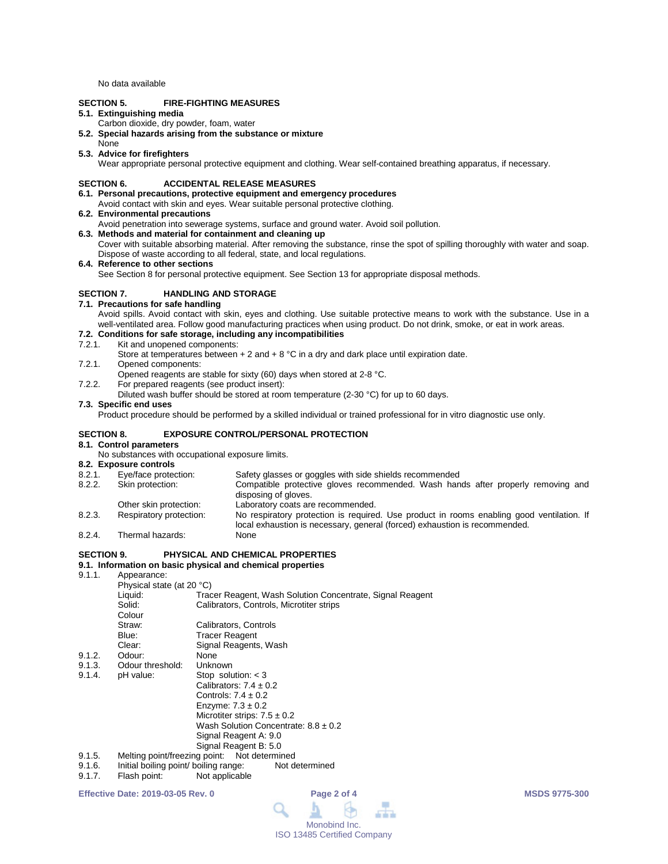No data available

## **SECTION 5. FIRE-FIGHTING MEASURES**

## **5.1. Extinguishing media**

- Carbon dioxide, dry powder, foam, water
- **5.2. Special hazards arising from the substance or mixture**
- None

#### **5.3. Advice for firefighters**

Wear appropriate personal protective equipment and clothing. Wear self-contained breathing apparatus, if necessary.

#### **SECTION 6. ACCIDENTAL RELEASE MEASURES**

- **6.1. Personal precautions, protective equipment and emergency procedures**
- Avoid contact with skin and eyes. Wear suitable personal protective clothing.
- **6.2. Environmental precautions**
- Avoid penetration into sewerage systems, surface and ground water. Avoid soil pollution.
- **6.3. Methods and material for containment and cleaning up**
- Cover with suitable absorbing material. After removing the substance, rinse the spot of spilling thoroughly with water and soap. Dispose of waste according to all federal, state, and local regulations.
- **6.4. Reference to other sections**

See Section 8 for personal protective equipment. See Section 13 for appropriate disposal methods.

## **SECTION 7. HANDLING AND STORAGE**

**7.1. Precautions for safe handling**

Avoid spills. Avoid contact with skin, eyes and clothing. Use suitable protective means to work with the substance. Use in a well-ventilated area. Follow good manufacturing practices when using product. Do not drink, smoke, or eat in work areas.

## **7.2. Conditions for safe storage, including any incompatibilities**

- 7.2.1. Kit and unopened components:
	- Store at temperatures between  $+ 2$  and  $+ 8$  °C in a dry and dark place until expiration date.
- 7.2.1. Opened components:
- Opened reagents are stable for sixty (60) days when stored at 2-8 °C.
- 7.2.2. For prepared reagents (see product insert):
- Diluted wash buffer should be stored at room temperature (2-30 °C) for up to 60 days.

#### **7.3. Specific end uses**

Product procedure should be performed by a skilled individual or trained professional for in vitro diagnostic use only.

## **SECTION 8. EXPOSURE CONTROL/PERSONAL PROTECTION**

## **8.1. Control parameters**

No substances with occupational exposure limits.

- **8.2. Exposure controls** 8.2.1. Eye/face protection: Safety glasses or goggles with side shields recommended<br>8.2.2. Skin protection: Compatible protective gloves recommended. Wash han Compatible protective gloves recommended. Wash hands after properly removing and disposing of gloves. Other skin protection: Laboratory coats are recommended.<br>
Respiratory protection: No respiratory protection is required 8.2.3. Respiratory protection: No respiratory protection is required. Use product in rooms enabling good ventilation. If local exhaustion is necessary, general (forced) exhaustion is recommended.
- 8.2.4. Thermal hazards: None

## **SECTION 9. PHYSICAL AND CHEMICAL PROPERTIES**

# **9.1. Information on basic physical and chemical properties**

Annearance:

| .      | '                         |                                                           |  |
|--------|---------------------------|-----------------------------------------------------------|--|
|        | Physical state (at 20 °C) |                                                           |  |
|        | Liquid:                   | Tracer Reagent, Wash Solution Concentrate, Signal Reagent |  |
|        | Solid:                    | Calibrators, Controls, Microtiter strips                  |  |
|        | Colour                    |                                                           |  |
|        | Straw:                    | Calibrators, Controls                                     |  |
|        | Blue:                     | <b>Tracer Reagent</b>                                     |  |
|        | Clear:                    | Signal Reagents, Wash                                     |  |
| 9.1.2. | Odour:                    | None                                                      |  |
| 9.1.3. | Odour threshold:          | Unknown                                                   |  |
| 9.1.4. | pH value:                 | Stop solution: $<$ 3                                      |  |
|        |                           | Calibrators: $7.4 \pm 0.2$                                |  |
|        |                           | Controls: $7.4 \pm 0.2$                                   |  |
|        |                           | Enzyme: $7.3 \pm 0.2$                                     |  |
|        |                           | Microtiter strips: $7.5 \pm 0.2$                          |  |
|        |                           | Wash Solution Concentrate: $8.8 \pm 0.2$                  |  |
|        |                           | Signal Reagent A: 9.0                                     |  |
|        |                           | Signal Reagent B: 5.0                                     |  |
| 9.1.5. |                           | Melting point/freezing point: Not determined              |  |
|        |                           |                                                           |  |

- 9.1.6. Initial boiling point/ boiling range: Not determined<br>9.1.7. Flash point: Not applicable
- Flash point: Not applicable

**Effective Date: 2019-03-05 Rev. 0 Page 2 of 4 MSDS 9775-300**

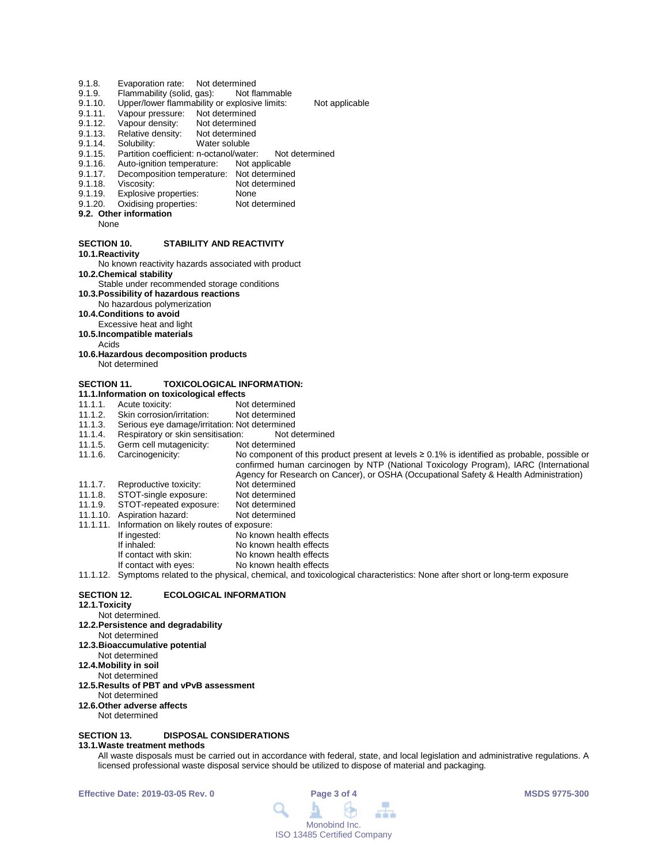- 9.1.8. Evaporation rate: Not determined<br>9.1.9. Flammability (solid, gas): Not flammable
- 9.1.9. Flammability (solid, gas):<br>9.1.10. Upper/lower flammability
- 9.1.10. Upper/lower flammability or explosive limits: Not applicable<br>9.1.11. Vapour pressure: Not determined
- 9.1.11. Vapour pressure: Not determined<br>9.1.12. Vapour density: Not determined
- 9.1.12. Vapour density: Not determined<br>9.1.13. Relative density: Not determined
- 9.1.13. Relative density:<br>9.1.14. Solubility:
- Water soluble
- 9.1.15. Partition coefficient: n-octanol/water: Not determined<br>9.1.16. Auto-ignition temperature: Not applicable
- 9.1.16. Auto-ignition temperature: Not applicable<br>9.1.17. Decomposition temperature: Not determined
- Decomposition temperature:
- 9.1.18. Viscosity: Not determined<br>9.1.19. Explosive properties: None
- 9.1.19. Explosive properties: None<br>9.1.20. Oxidising properties: Not determined
- Oxidising properties:
- **9.2. Other information**

None

## **SECTION 10. STABILITY AND REACTIVITY**

**10.1.Reactivity**

No known reactivity hazards associated with product **10.2.Chemical stability**

- Stable under recommended storage conditions
- **10.3.Possibility of hazardous reactions**
- No hazardous polymerization
- **10.4.Conditions to avoid**
- Excessive heat and light
- **10.5.Incompatible materials**

Acids

**10.6.Hazardous decomposition products** Not determined

## **SECTION 11. TOXICOLOGICAL INFORMATION:**

- 
- **11.1.Information on toxicological effects** 11.1.1. Acute toxicity: Not determined<br>11.1.2. Skin corrosion/irritation: Not determined
- 11.1.2. Skin corrosion/irritation:<br>11.1.3. Serious eye damage/irrit
- 
- 11.1.3. Serious eye damage/irritation: Not determined<br>11.1.4. Respiratory or skin sensitisation: Not determined 11.1.4. Respiratory or skin sensitisation: Not determined
- 11.1.5. Germ cell mutagenicity:<br>11.1.6. Carcinogenicity:

No component of this product present at levels ≥ 0.1% is identified as probable, possible or confirmed human carcinogen by NTP (National Toxicology Program), IARC (International Agency for Research on Cancer), or OSHA (Occupational Safety & Health Administration) 11.1.7. Reproductive toxicity: 11.1.8. STOT-single exposure: Not determined<br>11.1.9. STOT-repeated exposure: Not determined

- 11.1.9. STOT-repeated exposure: Not determined 11.1.10. Aspiration hazard:
- 11.1.11. Information on likely routes of exposure:
	- If ingested: No known health effects<br>
	If inhaled: No known health effects No known health effects
	-
	- If contact with skin: No known health effects No known health effects

11.1.12. Symptoms related to the physical, chemical, and toxicological characteristics: None after short or long-term exposure

#### **SECTION 12. ECOLOGICAL INFORMATION**

**12.1.Toxicity**

Not determined.

## **12.2.Persistence and degradability**

- Not determined **12.3.Bioaccumulative potential**
- Not determined
- **12.4.Mobility in soil**
- Not determined

#### **12.5.Results of PBT and vPvB assessment**

- Not determined
- **12.6.Other adverse affects**

#### Not determined

## **SECTION 13. DISPOSAL CONSIDERATIONS**

## **13.1.Waste treatment methods**

All waste disposals must be carried out in accordance with federal, state, and local legislation and administrative regulations. A licensed professional waste disposal service should be utilized to dispose of material and packaging.